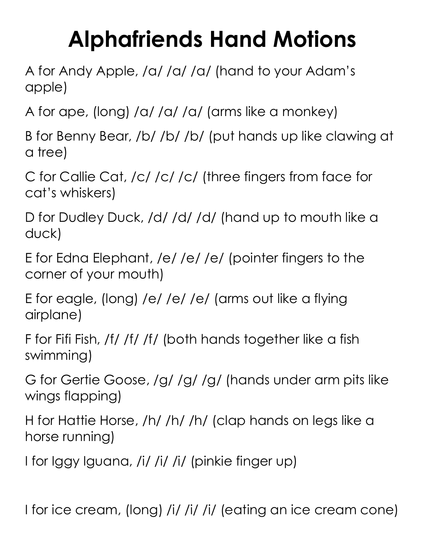## **Alphafriends Hand Motions**

A for Andy Apple, /a/ /a/ /a/ (hand to your Adam's apple)

A for ape, (long) /a/ /a/ /a/ (arms like a monkey)

B for Benny Bear, /b/ /b/ /b/ (put hands up like clawing at a tree)

C for Callie Cat, /c/ /c/ /c/ (three fingers from face for cat's whiskers)

D for Dudley Duck, /d/ /d/ /d/ (hand up to mouth like a duck)

E for Edna Elephant, /e/ /e/ /e/ (pointer fingers to the corner of your mouth)

E for eagle, (long) /e/ /e/ /e/ (arms out like a flying airplane)

F for Fifi Fish, /f/ /f/ /f/ (both hands together like a fish swimming)

G for Gertie Goose, /g/ /g/ /g/ (hands under arm pits like wings flapping)

H for Hattie Horse, /h/ /h/ /h/ (clap hands on legs like a horse running)

I for Iggy Iguana, /i/ /i/ /i/ (pinkie finger up)

I for ice cream, (long) /i/ /i/ /i/ (eating an ice cream cone)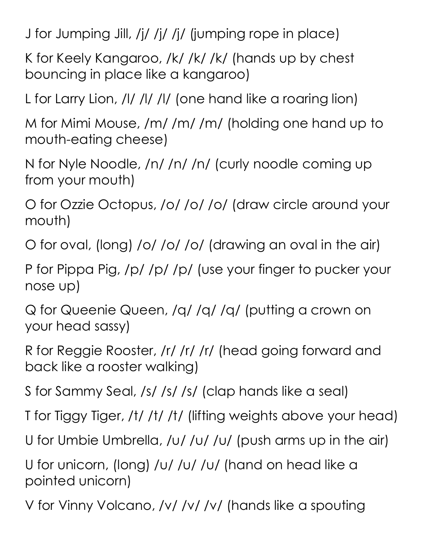J for Jumping Jill, /j/ /j/ /j/ (jumping rope in place)

K for Keely Kangaroo, /k/ /k/ /k/ (hands up by chest bouncing in place like a kangaroo)

L for Larry Lion, /l/ /l/ /l/ (one hand like a roaring lion)

M for Mimi Mouse, /m/ /m/ /m/ (holding one hand up to mouth-eating cheese)

N for Nyle Noodle, /n/ /n/ /n/ (curly noodle coming up from your mouth)

O for Ozzie Octopus, /o/ /o/ /o/ (draw circle around your mouth)

O for oval, (long) /o/ /o/ /o/ (drawing an oval in the air)

P for Pippa Pig, /p/ /p/ /p/ (use your finger to pucker your nose up)

Q for Queenie Queen, /q/ /q/ /q/ (putting a crown on your head sassy)

R for Reggie Rooster, /r/ /r/ /r/ (head going forward and back like a rooster walking)

S for Sammy Seal, /s/ /s/ /s/ (clap hands like a seal)

T for Tiggy Tiger, /t/ /t/ /t/ (lifting weights above your head)

U for Umbie Umbrella, /u/ /u/ /u/ (push arms up in the air)

U for unicorn, (long) /u/ /u/ /u/ (hand on head like a pointed unicorn)

V for Vinny Volcano, /v/ /v/ /v/ (hands like a spouting